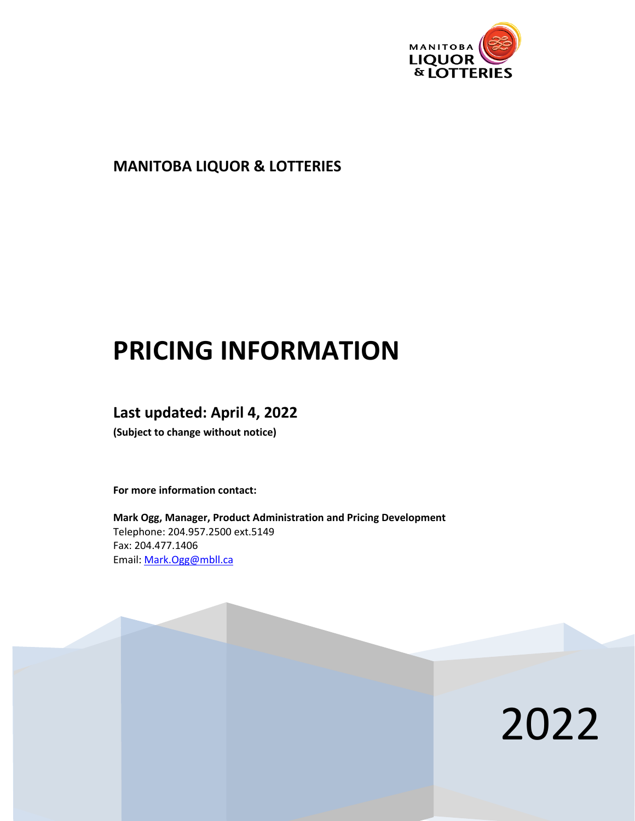

### **MANITOBA LIQUOR & LOTTERIES**

# **PRICING INFORMATION**

### **Last updated: April 4, 2022**

**(Subject to change without notice)**

**For more information contact:**

**Mark Ogg, Manager, Product Administration and Pricing Development** Telephone: 204.957.2500 ext.5149 Fax: 204.477.1406 Email: [Mark.Ogg@mbll.ca](mailto:Mark.Ogg@mbll.ca)

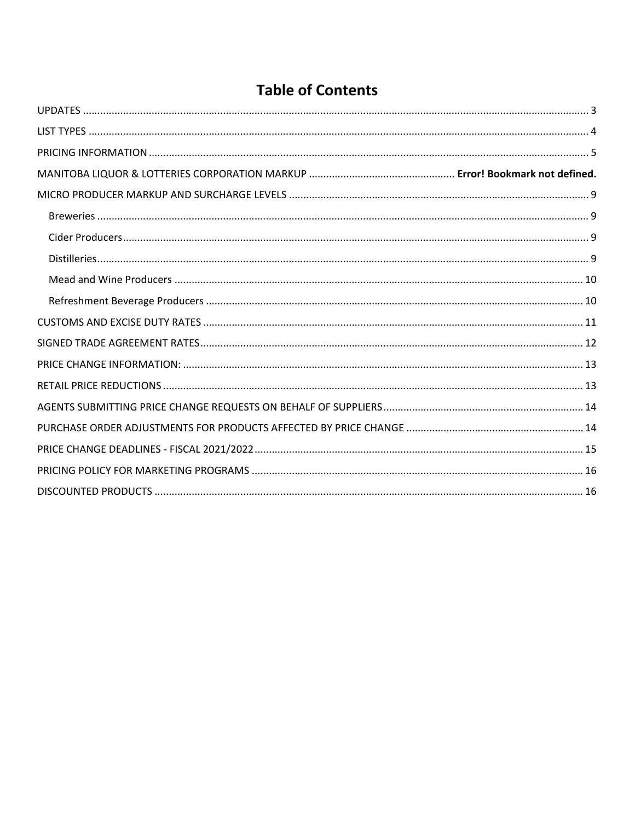| <b>Table of Contents</b> |
|--------------------------|
|                          |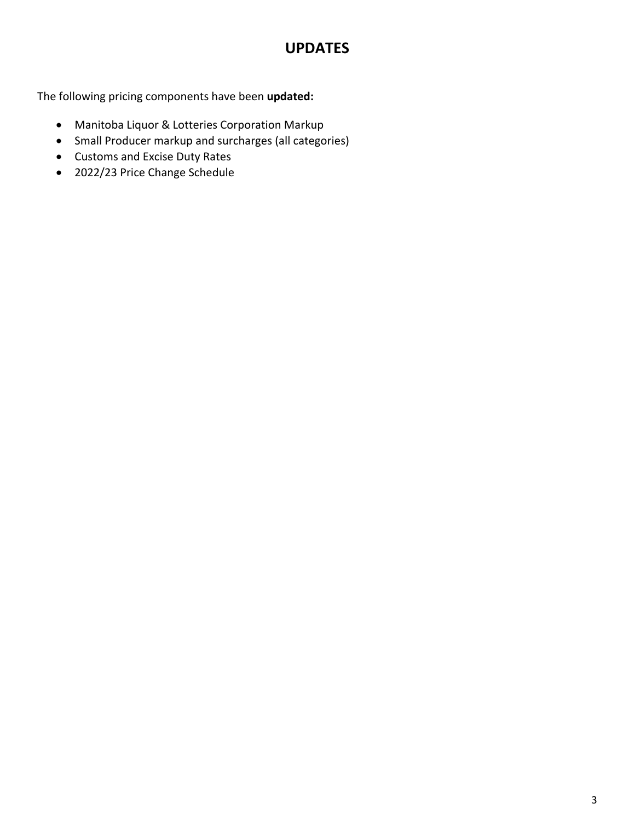# **UPDATES**

<span id="page-2-0"></span>The following pricing components have been **updated:**

- Manitoba Liquor & Lotteries Corporation Markup
- Small Producer markup and surcharges (all categories)
- Customs and Excise Duty Rates
- 2022/23 Price Change Schedule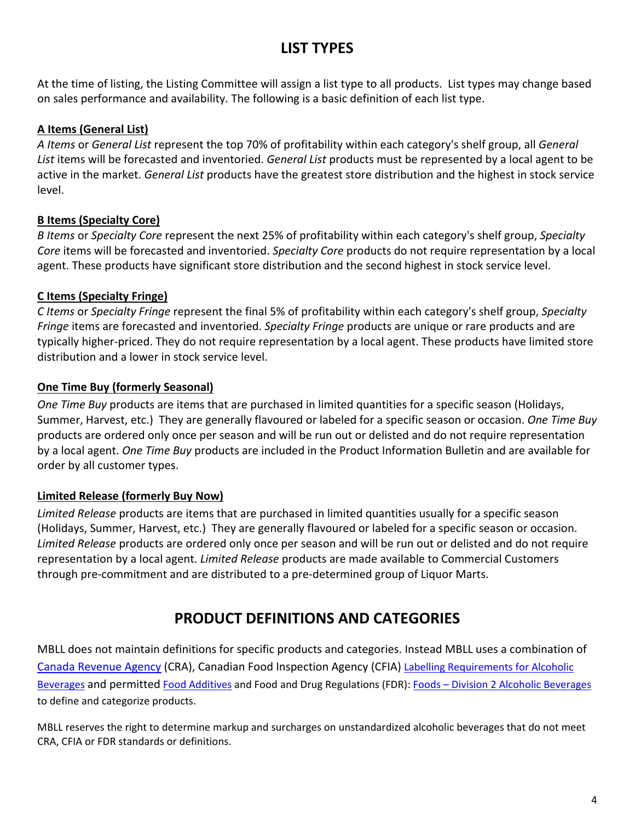# **LIST TYPES**

<span id="page-3-0"></span>At the time of listing, the Listing Committee will assign a list type to all products. List types may change based on sales performance and availability. The following is a basic definition of each list type.

#### **A Items (General List)**

*A Items* or *General List* represent the top 70% of profitability within each category's shelf group, all *General List* items will be forecasted and inventoried. *General List* products must be represented by a local agent to be active in the market. *General List* products have the greatest store distribution and the highest in stock service level.

#### **B Items (Specialty Core)**

*B Items* or *Specialty Core* represent the next 25% of profitability within each category's shelf group, *Specialty Core* items will be forecasted and inventoried. *Specialty Core* products do not require representation by a local agent. These products have significant store distribution and the second highest in stock service level.

#### **C Items (Specialty Fringe)**

*C Items* or *Specialty Fringe* represent the final 5% of profitability within each category's shelf group, *Specialty Fringe* items are forecasted and inventoried. *Specialty Fringe* products are unique or rare products and are typically higher-priced. They do not require representation by a local agent. These products have limited store distribution and a lower in stock service level.

#### **One Time Buy (formerly Seasonal)**

*One Time Buy* products are items that are purchased in limited quantities for a specific season (Holidays, Summer, Harvest, etc.) They are generally flavoured or labeled for a specific season or occasion. *One Time Buy* products are ordered only once per season and will be run out or delisted and do not require representation by a local agent. *One Time Buy* products are included in the Product Information Bulletin and are available for order by all customer types.

#### **Limited Release (formerly Buy Now)**

*Limited Release* products are items that are purchased in limited quantities usually for a specific season (Holidays, Summer, Harvest, etc.) They are generally flavoured or labeled for a specific season or occasion. *Limited Release* products are ordered only once per season and will be run out or delisted and do not require representation by a local agent. *Limited Release* products are made available to Commercial Customers through pre-commitment and are distributed to a pre-determined group of Liquor Marts.

# **PRODUCT DEFINITIONS AND CATEGORIES**

MBLL does not maintain definitions for specific products and categories. Instead MBLL uses a combination of [Canada Revenue Agency](https://www.canada.ca/en/revenue-agency/services/tax/technical-information/excise-duty.html) (CRA), Canadian Food Inspection Agency (CFIA) [Labelling Requirements for Alcoholic](https://www.inspection.gc.ca/food/requirements-and-guidance/labelling/industry/alcohol/eng/1392909001375/1392909133296)  [Beverages](https://www.inspection.gc.ca/food/requirements-and-guidance/labelling/industry/alcohol/eng/1392909001375/1392909133296) and permitted [Food Additives](https://www.canada.ca/en/health-canada/services/food-nutrition/food-safety/food-additives.html) and Food and Drug Regulations (FDR): Foods – [Division 2 Alcoholic Beverages](https://laws-lois.justice.gc.ca/eng/regulations/C.R.C.,_c._870/page-29.html#docCont) to define and categorize products.

MBLL reserves the right to determine markup and surcharges on unstandardized alcoholic beverages that do not meet CRA, CFIA or FDR standards or definitions.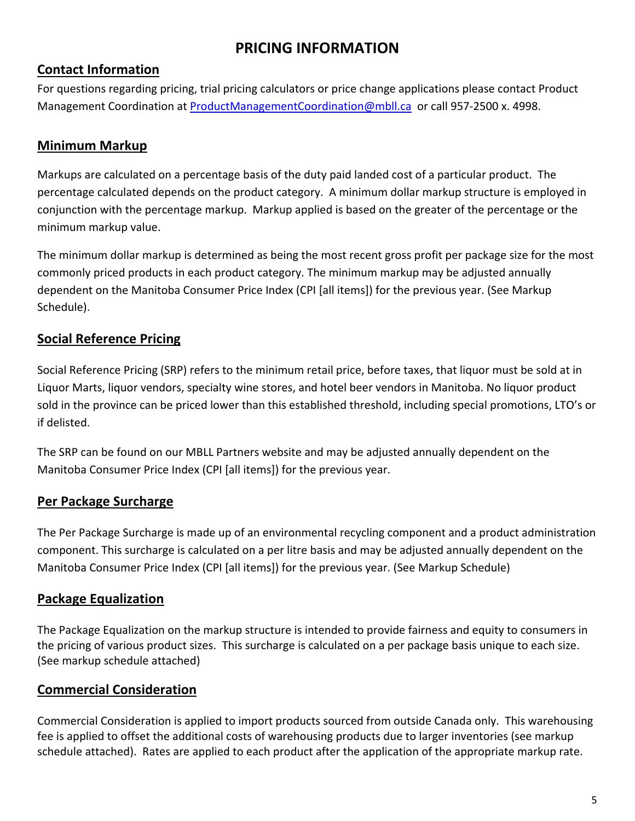# **PRICING INFORMATION**

### <span id="page-4-0"></span>**Contact Information**

For questions regarding pricing, trial pricing calculators or price change applications please contact Product Management Coordination at [ProductManagementCoordination@mbll.ca](mailto:ProductManagementCoordination@mbll.ca) or call 957-2500 x. 4998.

### **Minimum Markup**

Markups are calculated on a percentage basis of the duty paid landed cost of a particular product. The percentage calculated depends on the product category. A minimum dollar markup structure is employed in conjunction with the percentage markup. Markup applied is based on the greater of the percentage or the minimum markup value.

The minimum dollar markup is determined as being the most recent gross profit per package size for the most commonly priced products in each product category. The minimum markup may be adjusted annually dependent on the Manitoba Consumer Price Index (CPI [all items]) for the previous year. (See Markup Schedule).

### **Social Reference Pricing**

Social Reference Pricing (SRP) refers to the minimum retail price, before taxes, that liquor must be sold at in Liquor Marts, liquor vendors, specialty wine stores, and hotel beer vendors in Manitoba. No liquor product sold in the province can be priced lower than this established threshold, including special promotions, LTO's or if delisted.

The SRP can be found on our MBLL Partners website and may be adjusted annually dependent on the Manitoba Consumer Price Index (CPI [all items]) for the previous year.

#### **Per Package Surcharge**

The Per Package Surcharge is made up of an environmental recycling component and a product administration component. This surcharge is calculated on a per litre basis and may be adjusted annually dependent on the Manitoba Consumer Price Index (CPI [all items]) for the previous year. (See Markup Schedule)

### **Package Equalization**

The Package Equalization on the markup structure is intended to provide fairness and equity to consumers in the pricing of various product sizes. This surcharge is calculated on a per package basis unique to each size. (See markup schedule attached)

#### **Commercial Consideration**

Commercial Consideration is applied to import products sourced from outside Canada only. This warehousing fee is applied to offset the additional costs of warehousing products due to larger inventories (see markup schedule attached). Rates are applied to each product after the application of the appropriate markup rate.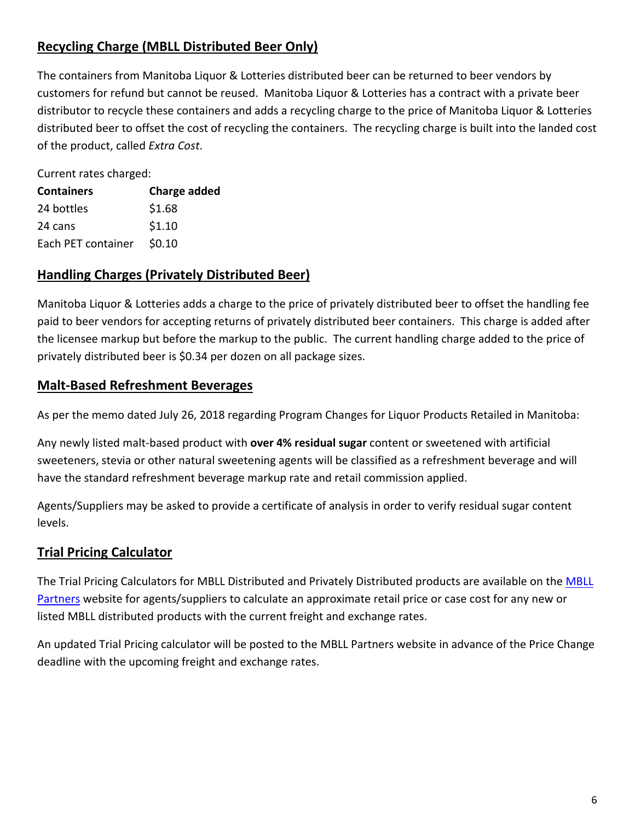### **Recycling Charge (MBLL Distributed Beer Only)**

The containers from Manitoba Liquor & Lotteries distributed beer can be returned to beer vendors by customers for refund but cannot be reused. Manitoba Liquor & Lotteries has a contract with a private beer distributor to recycle these containers and adds a recycling charge to the price of Manitoba Liquor & Lotteries distributed beer to offset the cost of recycling the containers. The recycling charge is built into the landed cost of the product, called *Extra Cost*.

Current rates charged:

| <b>Containers</b>  | <b>Charge added</b> |
|--------------------|---------------------|
| 24 bottles         | \$1.68              |
| 24 cans            | \$1.10              |
| Each PET container | \$0.10              |
|                    |                     |

#### **Handling Charges (Privately Distributed Beer)**

Manitoba Liquor & Lotteries adds a charge to the price of privately distributed beer to offset the handling fee paid to beer vendors for accepting returns of privately distributed beer containers. This charge is added after the licensee markup but before the markup to the public. The current handling charge added to the price of privately distributed beer is \$0.34 per dozen on all package sizes.

#### **Malt-Based Refreshment Beverages**

As per the memo dated July 26, 2018 regarding Program Changes for Liquor Products Retailed in Manitoba:

Any newly listed malt-based product with **over 4% residual sugar** content or sweetened with artificial sweeteners, stevia or other natural sweetening agents will be classified as a refreshment beverage and will have the standard refreshment beverage markup rate and retail commission applied.

Agents/Suppliers may be asked to provide a certificate of analysis in order to verify residual sugar content levels.

### **Trial Pricing Calculator**

The Trial Pricing Calculators for MBLL Distributed and Privately Distributed products are available on the [MBLL](https://www.mbllpartners.ca/node/9236)  [Partners](https://www.mbllpartners.ca/node/9236) website for agents/suppliers to calculate an approximate retail price or case cost for any new or listed MBLL distributed products with the current freight and exchange rates.

An updated Trial Pricing calculator will be posted to the MBLL Partners website in advance of the Price Change deadline with the upcoming freight and exchange rates.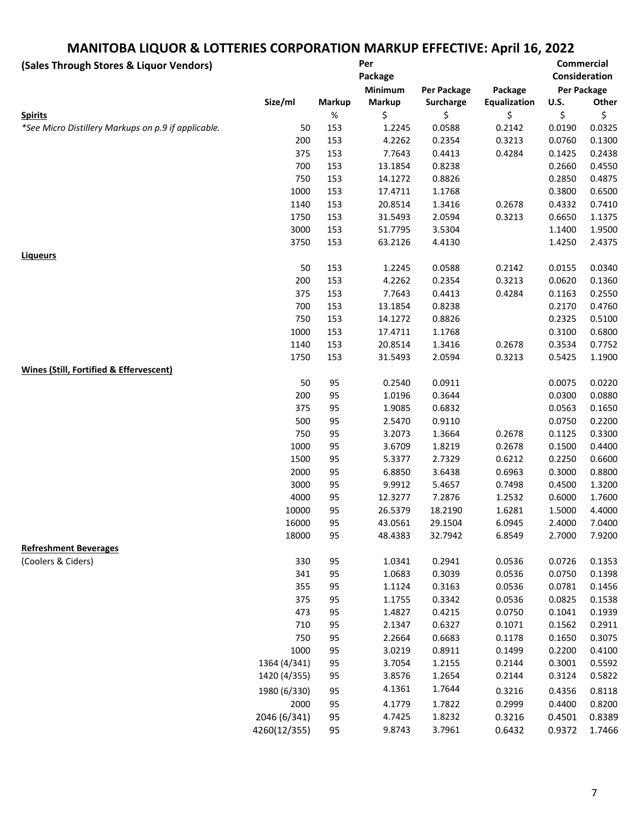# **MANITOBA LIQUOR & LOTTERIES CORPORATION MARKUP EFFECTIVE: April 16, 2022**

| (Sales Through Stores & Liquor Vendors)             |              |               | Per<br>Package |                  |              |             | <b>Commercial</b><br>Consideration |
|-----------------------------------------------------|--------------|---------------|----------------|------------------|--------------|-------------|------------------------------------|
|                                                     |              |               | Minimum        | Per Package      | Package      |             | Per Package                        |
|                                                     | Size/ml      | <b>Markup</b> | <b>Markup</b>  | <b>Surcharge</b> | Equalization | <b>U.S.</b> | Other                              |
| <b>Spirits</b>                                      |              | $\%$          | \$             | \$               | \$           | \$          | \$                                 |
| *See Micro Distillery Markups on p.9 if applicable. | 50           | 153           | 1.2245         | 0.0588           | 0.2142       | 0.0190      | 0.0325                             |
|                                                     | 200          | 153           | 4.2262         | 0.2354           | 0.3213       | 0.0760      | 0.1300                             |
|                                                     | 375          | 153           | 7.7643         | 0.4413           | 0.4284       | 0.1425      | 0.2438                             |
|                                                     | 700          | 153           | 13.1854        | 0.8238           |              | 0.2660      | 0.4550                             |
|                                                     | 750          | 153           | 14.1272        | 0.8826           |              | 0.2850      | 0.4875                             |
|                                                     | 1000         | 153           | 17.4711        | 1.1768           |              | 0.3800      | 0.6500                             |
|                                                     | 1140         | 153           | 20.8514        | 1.3416           | 0.2678       | 0.4332      | 0.7410                             |
|                                                     | 1750         | 153           | 31.5493        | 2.0594           | 0.3213       | 0.6650      | 1.1375                             |
|                                                     | 3000         | 153           | 51.7795        | 3.5304           |              | 1.1400      | 1.9500                             |
|                                                     | 3750         | 153           | 63.2126        | 4.4130           |              | 1.4250      | 2.4375                             |
| <b>Liqueurs</b>                                     |              |               |                |                  |              |             |                                    |
|                                                     | 50           | 153           | 1.2245         | 0.0588           | 0.2142       | 0.0155      | 0.0340                             |
|                                                     | 200          | 153           | 4.2262         | 0.2354           | 0.3213       | 0.0620      | 0.1360                             |
|                                                     | 375          | 153           | 7.7643         | 0.4413           | 0.4284       | 0.1163      | 0.2550                             |
|                                                     | 700          | 153           | 13.1854        | 0.8238           |              | 0.2170      | 0.4760                             |
|                                                     | 750          | 153           | 14.1272        | 0.8826           |              | 0.2325      | 0.5100                             |
|                                                     | 1000         | 153           | 17.4711        | 1.1768           |              | 0.3100      | 0.6800                             |
|                                                     | 1140         | 153           | 20.8514        | 1.3416           | 0.2678       | 0.3534      | 0.7752                             |
|                                                     | 1750         | 153           | 31.5493        | 2.0594           | 0.3213       | 0.5425      | 1.1900                             |
| <b>Wines (Still, Fortified &amp; Effervescent)</b>  |              |               |                |                  |              |             |                                    |
|                                                     | 50           | 95            | 0.2540         | 0.0911           |              | 0.0075      | 0.0220                             |
|                                                     | 200          | 95            | 1.0196         | 0.3644           |              | 0.0300      | 0.0880                             |
|                                                     | 375          | 95            | 1.9085         | 0.6832           |              | 0.0563      | 0.1650                             |
|                                                     | 500          | 95            | 2.5470         | 0.9110           |              | 0.0750      | 0.2200                             |
|                                                     | 750          | 95            | 3.2073         | 1.3664           | 0.2678       | 0.1125      | 0.3300                             |
|                                                     | 1000         | 95            | 3.6709         | 1.8219           | 0.2678       | 0.1500      | 0.4400                             |
|                                                     | 1500         | 95            | 5.3377         | 2.7329           | 0.6212       | 0.2250      | 0.6600                             |
|                                                     | 2000         | 95            | 6.8850         | 3.6438           | 0.6963       | 0.3000      | 0.8800                             |
|                                                     | 3000         | 95            | 9.9912         | 5.4657           | 0.7498       | 0.4500      | 1.3200                             |
|                                                     | 4000         | 95            | 12.3277        | 7.2876           | 1.2532       | 0.6000      | 1.7600                             |
|                                                     | 10000        | 95            | 26.5379        | 18.2190          | 1.6281       | 1.5000      | 4.4000                             |
|                                                     | 16000        | 95            | 43.0561        | 29.1504          | 6.0945       | 2.4000      | 7.0400                             |
|                                                     | 18000        | 95            | 48.4383        | 32.7942          | 6.8549       | 2.7000      | 7.9200                             |
| <b>Refreshment Beverages</b>                        |              |               |                |                  |              |             |                                    |
| (Coolers & Ciders)                                  | 330          | 95            | 1.0341         | 0.2941           | 0.0536       | 0.0726      | 0.1353                             |
|                                                     | 341          | 95            | 1.0683         | 0.3039           | 0.0536       | 0.0750      | 0.1398                             |
|                                                     | 355          | 95            | 1.1124         | 0.3163           | 0.0536       | 0.0781      | 0.1456                             |
|                                                     | 375          | 95            | 1.1755         | 0.3342           | 0.0536       | 0.0825      | 0.1538                             |
|                                                     | 473          | 95            | 1.4827         | 0.4215           | 0.0750       | 0.1041      | 0.1939                             |
|                                                     | 710          | 95            | 2.1347         | 0.6327           | 0.1071       | 0.1562      | 0.2911                             |
|                                                     | 750          | 95            | 2.2664         | 0.6683           | 0.1178       | 0.1650      | 0.3075                             |
|                                                     | 1000         | 95            | 3.0219         | 0.8911           | 0.1499       | 0.2200      | 0.4100                             |
|                                                     | 1364 (4/341) | 95            | 3.7054         | 1.2155           | 0.2144       | 0.3001      | 0.5592                             |
|                                                     | 1420 (4/355) | 95            | 3.8576         | 1.2654           | 0.2144       | 0.3124      | 0.5822                             |
|                                                     | 1980 (6/330) | 95            | 4.1361         | 1.7644           | 0.3216       | 0.4356      | 0.8118                             |
|                                                     | 2000         | 95            | 4.1779         | 1.7822           | 0.2999       | 0.4400      | 0.8200                             |
|                                                     | 2046 (6/341) | 95            | 4.7425         | 1.8232           | 0.3216       | 0.4501      | 0.8389                             |
|                                                     | 4260(12/355) | 95            | 9.8743         | 3.7961           | 0.6432       | 0.9372      | 1.7466                             |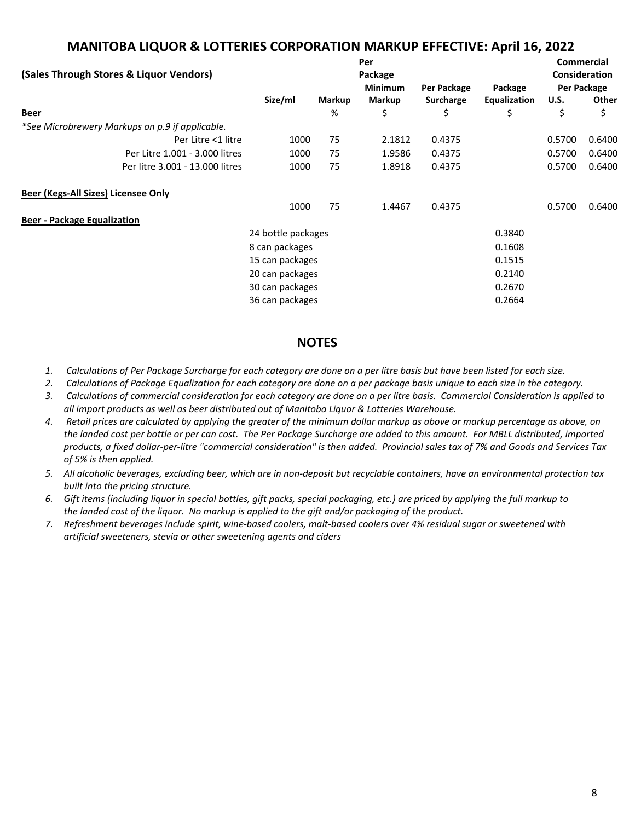#### **MANITOBA LIQUOR & LOTTERIES CORPORATION MARKUP EFFECTIVE: April 16, 2022**

| Per                                             |                    |                |               |           |              | <b>Commercial</b> |               |
|-------------------------------------------------|--------------------|----------------|---------------|-----------|--------------|-------------------|---------------|
| (Sales Through Stores & Liquor Vendors)         |                    |                | Package       |           |              |                   | Consideration |
|                                                 |                    | <b>Minimum</b> | Per Package   | Package   |              | Per Package       |               |
|                                                 | Size/ml            | <b>Markup</b>  | <b>Markup</b> | Surcharge | Equalization | <b>U.S.</b>       | Other         |
| <b>Beer</b>                                     |                    | %              | \$            | \$        | \$           | \$                | \$            |
| *See Microbrewery Markups on p.9 if applicable. |                    |                |               |           |              |                   |               |
| Per Litre <1 litre                              | 1000               | 75             | 2.1812        | 0.4375    |              | 0.5700            | 0.6400        |
| Per Litre 1.001 - 3.000 litres                  | 1000               | 75             | 1.9586        | 0.4375    |              | 0.5700            | 0.6400        |
| Per litre 3.001 - 13.000 litres                 | 1000               | 75             | 1.8918        | 0.4375    |              | 0.5700            | 0.6400        |
| Beer (Kegs-All Sizes) Licensee Only             |                    |                |               |           |              |                   |               |
|                                                 | 1000               | 75             | 1.4467        | 0.4375    |              | 0.5700            | 0.6400        |
| <b>Beer - Package Equalization</b>              |                    |                |               |           |              |                   |               |
|                                                 | 24 bottle packages |                |               |           | 0.3840       |                   |               |
|                                                 | 8 can packages     |                |               |           | 0.1608       |                   |               |
|                                                 | 15 can packages    |                |               |           | 0.1515       |                   |               |
|                                                 | 20 can packages    |                |               |           | 0.2140       |                   |               |
|                                                 | 30 can packages    |                |               |           | 0.2670       |                   |               |
|                                                 | 36 can packages    |                |               |           | 0.2664       |                   |               |
|                                                 |                    |                |               |           |              |                   |               |

#### **NOTES**

- *1. Calculations of Per Package Surcharge for each category are done on a per litre basis but have been listed for each size.*
- *2. Calculations of Package Equalization for each category are done on a per package basis unique to each size in the category.*
- *3. Calculations of commercial consideration for each category are done on a per litre basis. Commercial Consideration is applied to all import products as well as beer distributed out of Manitoba Liquor & Lotteries Warehouse.*
- *4. Retail prices are calculated by applying the greater of the minimum dollar markup as above or markup percentage as above, on the landed cost per bottle or per can cost. The Per Package Surcharge are added to this amount. For MBLL distributed, imported products, a fixed dollar-per-litre "commercial consideration" is then added. Provincial sales tax of 7% and Goods and Services Tax of 5% is then applied.*
- *5. All alcoholic beverages, excluding beer, which are in non-deposit but recyclable containers, have an environmental protection tax built into the pricing structure.*
- *6. Gift items (including liquor in special bottles, gift packs, special packaging, etc.) are priced by applying the full markup to the landed cost of the liquor. No markup is applied to the gift and/or packaging of the product.*
- *7. Refreshment beverages include spirit, wine-based coolers, malt-based coolers over 4% residual sugar or sweetened with artificial sweeteners, stevia or other sweetening agents and ciders*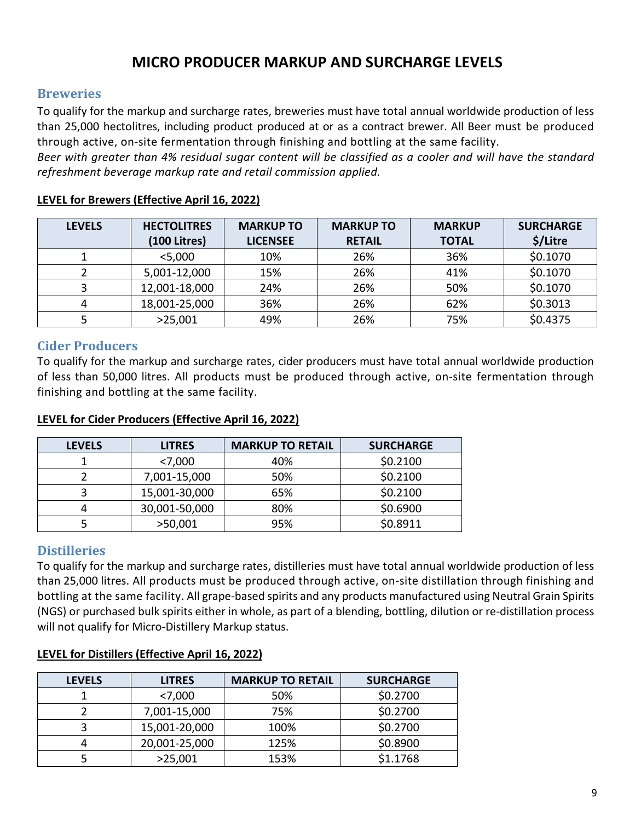### **MICRO PRODUCER MARKUP AND SURCHARGE LEVELS**

#### <span id="page-8-1"></span><span id="page-8-0"></span>**Breweries**

To qualify for the markup and surcharge rates, breweries must have total annual worldwide production of less than 25,000 hectolitres, including product produced at or as a contract brewer. All Beer must be produced through active, on-site fermentation through finishing and bottling at the same facility.

*Beer with greater than 4% residual sugar content will be classified as a cooler and will have the standard refreshment beverage markup rate and retail commission applied.* 

| <b>LEVELS</b> | <b>HECTOLITRES</b> | <b>MARKUP TO</b> | <b>MARKUP TO</b> | <b>MARKUP</b> | <b>SURCHARGE</b> |
|---------------|--------------------|------------------|------------------|---------------|------------------|
|               | (100 Litres)       | <b>LICENSEE</b>  | <b>RETAIL</b>    | <b>TOTAL</b>  | \$/Litre         |
|               | $<$ 5,000          | 10%              | 26%              | 36%           | \$0.1070         |
|               | 5,001-12,000       | 15%              | 26%              | 41%           | \$0.1070         |
|               | 12,001-18,000      | 24%              | 26%              | 50%           | \$0.1070         |
|               | 18,001-25,000      | 36%              | 26%              | 62%           | \$0.3013         |
|               | >25,001            | 49%              | 26%              | 75%           | \$0.4375         |

#### **LEVEL for Brewers (Effective April 16, 2022)**

#### <span id="page-8-2"></span>**Cider Producers**

To qualify for the markup and surcharge rates, cider producers must have total annual worldwide production of less than 50,000 litres. All products must be produced through active, on-site fermentation through finishing and bottling at the same facility.

#### **LEVEL for Cider Producers (Effective April 16, 2022)**

| <b>LEVELS</b> | <b>LITRES</b> | <b>MARKUP TO RETAIL</b> | <b>SURCHARGE</b> |
|---------------|---------------|-------------------------|------------------|
|               | < 7,000       | 40%                     | \$0.2100         |
|               | 7,001-15,000  | 50%                     | \$0.2100         |
|               | 15,001-30,000 | 65%                     | \$0.2100         |
|               | 30,001-50,000 | 80%                     | \$0.6900         |
|               | >50,001       | 95%                     | \$0.8911         |

#### <span id="page-8-3"></span>**Distilleries**

To qualify for the markup and surcharge rates, distilleries must have total annual worldwide production of less than 25,000 litres. All products must be produced through active, on-site distillation through finishing and bottling at the same facility. All grape-based spirits and any products manufactured using Neutral Grain Spirits (NGS) or purchased bulk spirits either in whole, as part of a blending, bottling, dilution or re-distillation process will not qualify for Micro-Distillery Markup status.

| <b>LEVELS</b> | <b>LITRES</b> | <b>MARKUP TO RETAIL</b> | <b>SURCHARGE</b> |
|---------------|---------------|-------------------------|------------------|
|               | < 7,000       | 50%                     | \$0.2700         |
|               | 7,001-15,000  | 75%                     | \$0.2700         |
|               | 15,001-20,000 | 100%                    | \$0.2700         |
|               | 20,001-25,000 | 125%                    | \$0.8900         |
|               | >25,001       | 153%                    | \$1.1768         |

#### **LEVEL for Distillers (Effective April 16, 2022)**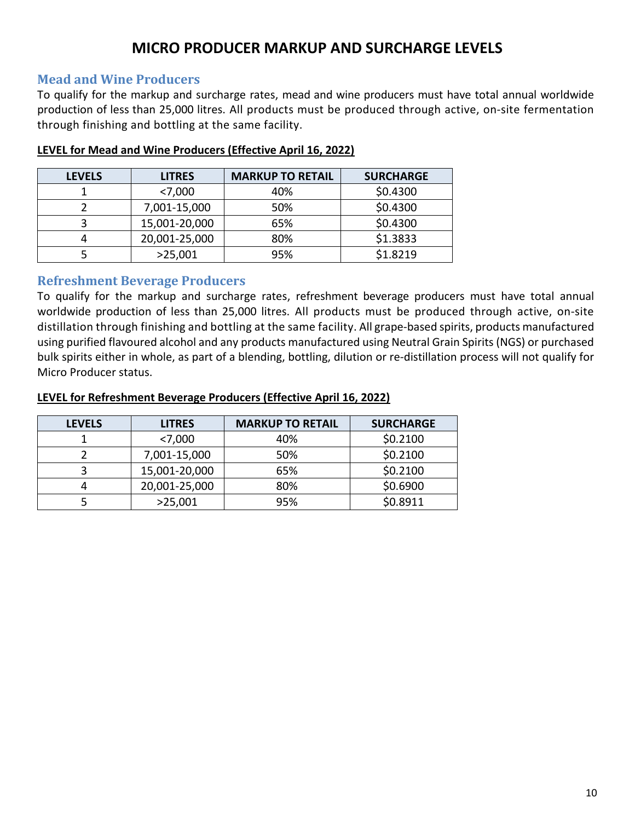# **MICRO PRODUCER MARKUP AND SURCHARGE LEVELS**

#### <span id="page-9-0"></span>**Mead and Wine Producers**

To qualify for the markup and surcharge rates, mead and wine producers must have total annual worldwide production of less than 25,000 litres. All products must be produced through active, on-site fermentation through finishing and bottling at the same facility.

| <b>LEVELS</b> | <b>LITRES</b> | <b>MARKUP TO RETAIL</b> | <b>SURCHARGE</b> |
|---------------|---------------|-------------------------|------------------|
|               | < 7,000       | 40%                     | \$0.4300         |
|               | 7,001-15,000  | 50%                     | \$0.4300         |
|               | 15,001-20,000 | 65%                     | \$0.4300         |
|               | 20,001-25,000 | 80%                     | \$1.3833         |
|               | >25,001       | 95%                     | \$1.8219         |

#### **LEVEL for Mead and Wine Producers (Effective April 16, 2022)**

#### <span id="page-9-1"></span>**Refreshment Beverage Producers**

To qualify for the markup and surcharge rates, refreshment beverage producers must have total annual worldwide production of less than 25,000 litres. All products must be produced through active, on-site distillation through finishing and bottling at the same facility. All grape-based spirits, products manufactured using purified flavoured alcohol and any products manufactured using Neutral Grain Spirits (NGS) or purchased bulk spirits either in whole, as part of a blending, bottling, dilution or re-distillation process will not qualify for Micro Producer status.

#### **LEVEL for Refreshment Beverage Producers (Effective April 16, 2022)**

| <b>LEVELS</b> | <b>LITRES</b> | <b>MARKUP TO RETAIL</b> | <b>SURCHARGE</b> |
|---------------|---------------|-------------------------|------------------|
|               | < 7,000       | 40%                     | \$0.2100         |
|               | 7,001-15,000  | 50%                     | \$0.2100         |
|               | 15,001-20,000 | 65%                     | \$0.2100         |
| 4             | 20,001-25,000 | 80%                     | \$0.6900         |
|               | >25,001       | 95%                     | \$0.8911         |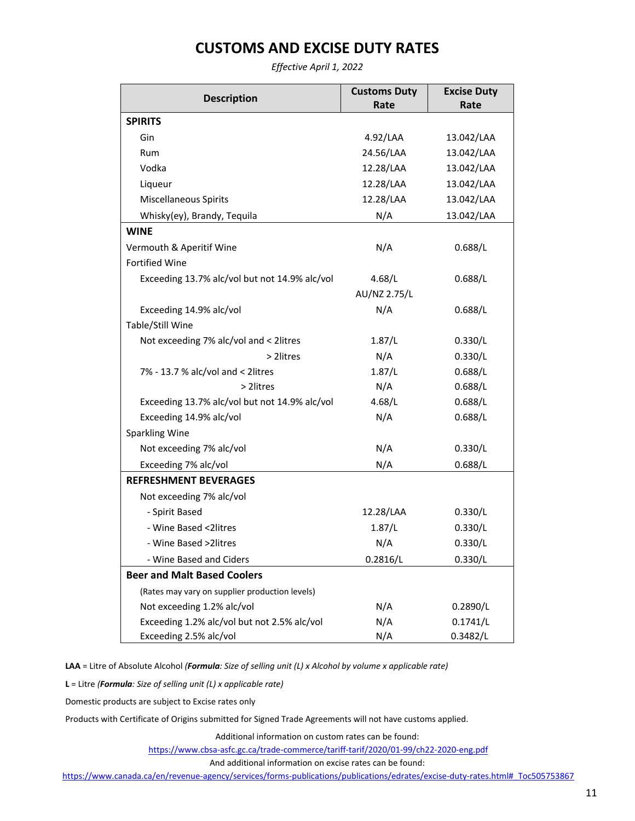# **CUSTOMS AND EXCISE DUTY RATES**

*Effective April 1, 2022*

<span id="page-10-0"></span>

| <b>Description</b>                             | <b>Customs Duty</b> | <b>Excise Duty</b> |
|------------------------------------------------|---------------------|--------------------|
|                                                | Rate                | Rate               |
| <b>SPIRITS</b>                                 |                     |                    |
| Gin                                            | 4.92/LAA            | 13.042/LAA         |
| Rum                                            | 24.56/LAA           | 13.042/LAA         |
| Vodka                                          | 12.28/LAA           | 13.042/LAA         |
| Liqueur                                        | 12.28/LAA           | 13.042/LAA         |
| <b>Miscellaneous Spirits</b>                   | 12.28/LAA           | 13.042/LAA         |
| Whisky(ey), Brandy, Tequila                    | N/A                 | 13.042/LAA         |
| <b>WINE</b>                                    |                     |                    |
| Vermouth & Aperitif Wine                       | N/A                 | 0.688/L            |
| <b>Fortified Wine</b>                          |                     |                    |
| Exceeding 13.7% alc/vol but not 14.9% alc/vol  | 4.68/L              | 0.688/L            |
|                                                | AU/NZ 2.75/L        |                    |
| Exceeding 14.9% alc/vol                        | N/A                 | 0.688/L            |
| Table/Still Wine                               |                     |                    |
| Not exceeding 7% alc/vol and < 2litres         | 1.87/L              | 0.330/L            |
| > 2litres                                      | N/A                 | 0.330/L            |
| 7% - 13.7 % alc/vol and < 2litres              | 1.87/L              | 0.688/L            |
| > 2litres                                      | N/A                 | 0.688/L            |
| Exceeding 13.7% alc/vol but not 14.9% alc/vol  | 4.68/L              | 0.688/L            |
| Exceeding 14.9% alc/vol                        | N/A                 | 0.688/L            |
| <b>Sparkling Wine</b>                          |                     |                    |
| Not exceeding 7% alc/vol                       | N/A                 | 0.330/L            |
| Exceeding 7% alc/vol                           | N/A                 | 0.688/L            |
| <b>REFRESHMENT BEVERAGES</b>                   |                     |                    |
| Not exceeding 7% alc/vol                       |                     |                    |
| - Spirit Based                                 | 12.28/LAA           | 0.330/L            |
| - Wine Based <2litres                          | 1.87/L              | 0.330/L            |
| - Wine Based > 2litres                         | N/A                 | 0.330/L            |
| - Wine Based and Ciders                        | 0.2816/L            | 0.330/L            |
| <b>Beer and Malt Based Coolers</b>             |                     |                    |
| (Rates may vary on supplier production levels) |                     |                    |
| Not exceeding 1.2% alc/vol                     | N/A                 | 0.2890/L           |
| Exceeding 1.2% alc/vol but not 2.5% alc/vol    | N/A                 | 0.1741/L           |
| Exceeding 2.5% alc/vol                         | N/A                 | 0.3482/L           |

**LAA** = Litre of Absolute Alcohol *(Formula: Size of selling unit (L) x Alcohol by volume x applicable rate)*

**L** = Litre *(Formula: Size of selling unit (L) x applicable rate)*

Domestic products are subject to Excise rates only

Products with Certificate of Origins submitted for Signed Trade Agreements will not have customs applied.

Additional information on custom rates can be found:

<https://www.cbsa-asfc.gc.ca/trade-commerce/tariff-tarif/2020/01-99/ch22-2020-eng.pdf>

And additional information on excise rates can be found:

https://www.canada.ca/en/revenue-agency/services/forms-publications/publications/edrates/excise-duty-rates.html# Toc505753867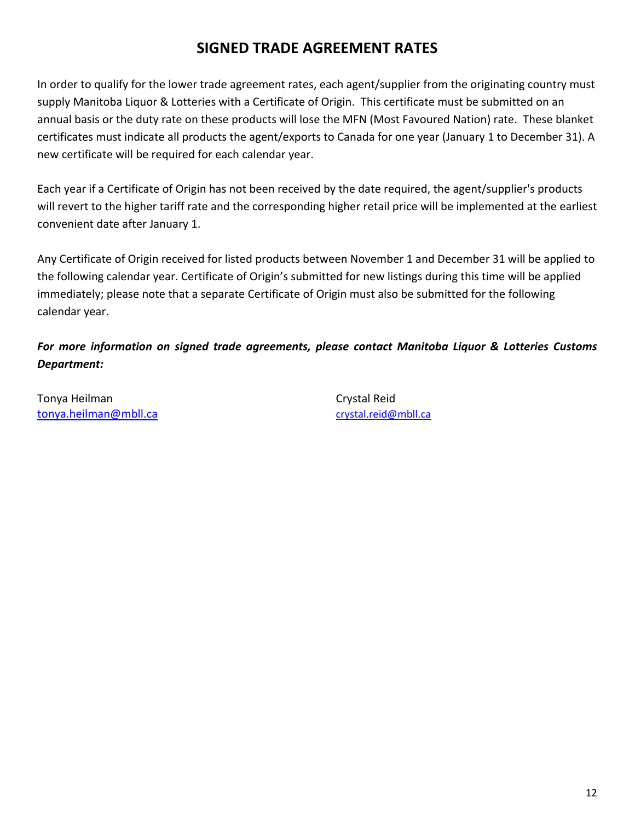# **SIGNED TRADE AGREEMENT RATES**

<span id="page-11-0"></span>In order to qualify for the lower trade agreement rates, each agent/supplier from the originating country must supply Manitoba Liquor & Lotteries with a Certificate of Origin. This certificate must be submitted on an annual basis or the duty rate on these products will lose the MFN (Most Favoured Nation) rate. These blanket certificates must indicate all products the agent/exports to Canada for one year (January 1 to December 31). A new certificate will be required for each calendar year.

Each year if a Certificate of Origin has not been received by the date required, the agent/supplier's products will revert to the higher tariff rate and the corresponding higher retail price will be implemented at the earliest convenient date after January 1.

Any Certificate of Origin received for listed products between November 1 and December 31 will be applied to the following calendar year. Certificate of Origin's submitted for new listings during this time will be applied immediately; please note that a separate Certificate of Origin must also be submitted for the following calendar year.

*For more information on signed trade agreements, please contact Manitoba Liquor & Lotteries Customs Department:*

Tonya Heilman Crystal Reid [tonya.heilman@mbll.ca](mailto:tonya.heilman@mbll.ca) [crystal.reid@mbll.ca](mailto:crystal.reai@mbll,ca)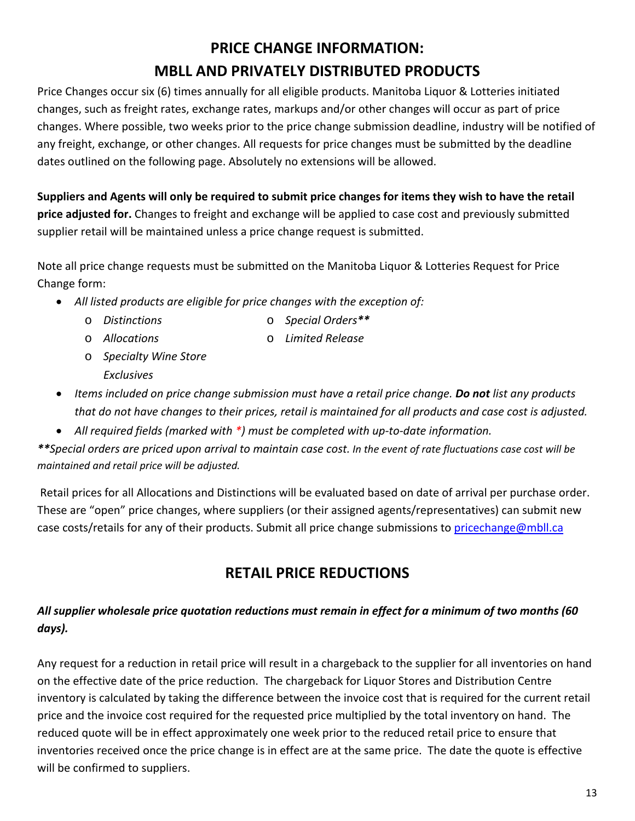# **PRICE CHANGE INFORMATION: MBLL AND PRIVATELY DISTRIBUTED PRODUCTS**

<span id="page-12-0"></span>Price Changes occur six (6) times annually for all eligible products. Manitoba Liquor & Lotteries initiated changes, such as freight rates, exchange rates, markups and/or other changes will occur as part of price changes. Where possible, two weeks prior to the price change submission deadline, industry will be notified of any freight, exchange, or other changes. All requests for price changes must be submitted by the deadline dates outlined on the following page. Absolutely no extensions will be allowed.

**Suppliers and Agents will only be required to submit price changes for items they wish to have the retail price adjusted for.** Changes to freight and exchange will be applied to case cost and previously submitted supplier retail will be maintained unless a price change request is submitted.

Note all price change requests must be submitted on the Manitoba Liquor & Lotteries Request for Price Change form:

- *All listed products are eligible for price changes with the exception of:*
	-
	- o *Distinctions* o *Special Orders\*\**
	- o *Allocations* o *Limited Release*
	- o *Specialty Wine Store Exclusives*
- *Items included on price change submission must have a retail price change. Do not list any products that do not have changes to their prices, retail is maintained for all products and case cost is adjusted.*
- *All required fields (marked with \*) must be completed with up-to-date information.*

*\*\*Special orders are priced upon arrival to maintain case cost. In the event of rate fluctuations case cost will be maintained and retail price will be adjusted.*

<span id="page-12-1"></span>Retail prices for all Allocations and Distinctions will be evaluated based on date of arrival per purchase order. These are "open" price changes, where suppliers (or their assigned agents/representatives) can submit new case costs/retails for any of their products. Submit all price change submissions to [pricechange@mbll.ca](mailto:pricechange@mbll.ca)

# **RETAIL PRICE REDUCTIONS**

### *All supplier wholesale price quotation reductions must remain in effect for a minimum of two months (60 days).*

Any request for a reduction in retail price will result in a chargeback to the supplier for all inventories on hand on the effective date of the price reduction. The chargeback for Liquor Stores and Distribution Centre inventory is calculated by taking the difference between the invoice cost that is required for the current retail price and the invoice cost required for the requested price multiplied by the total inventory on hand. The reduced quote will be in effect approximately one week prior to the reduced retail price to ensure that inventories received once the price change is in effect are at the same price. The date the quote is effective will be confirmed to suppliers.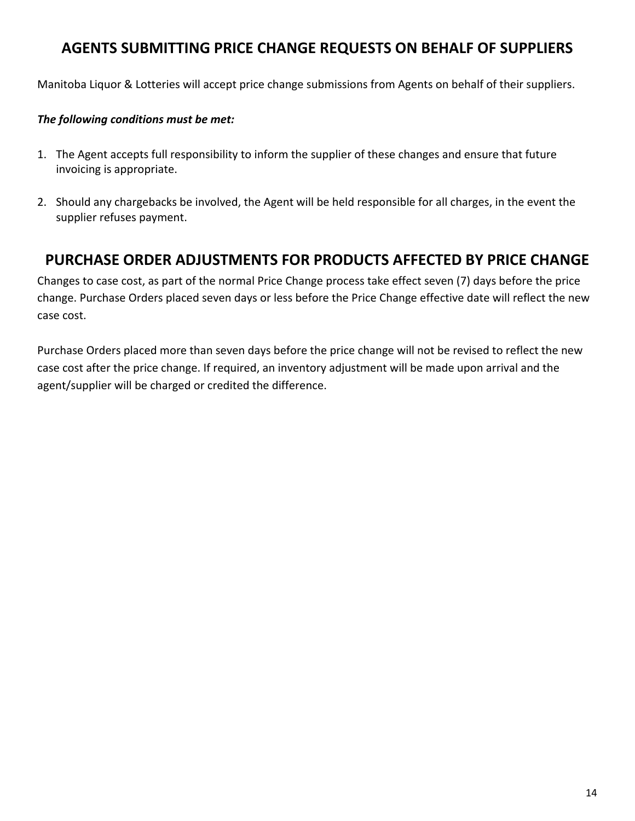# <span id="page-13-0"></span>**AGENTS SUBMITTING PRICE CHANGE REQUESTS ON BEHALF OF SUPPLIERS**

Manitoba Liquor & Lotteries will accept price change submissions from Agents on behalf of their suppliers.

#### *The following conditions must be met:*

- 1. The Agent accepts full responsibility to inform the supplier of these changes and ensure that future invoicing is appropriate.
- 2. Should any chargebacks be involved, the Agent will be held responsible for all charges, in the event the supplier refuses payment.

### <span id="page-13-1"></span>**PURCHASE ORDER ADJUSTMENTS FOR PRODUCTS AFFECTED BY PRICE CHANGE**

Changes to case cost, as part of the normal Price Change process take effect seven (7) days before the price change. Purchase Orders placed seven days or less before the Price Change effective date will reflect the new case cost.

Purchase Orders placed more than seven days before the price change will not be revised to reflect the new case cost after the price change. If required, an inventory adjustment will be made upon arrival and the agent/supplier will be charged or credited the difference.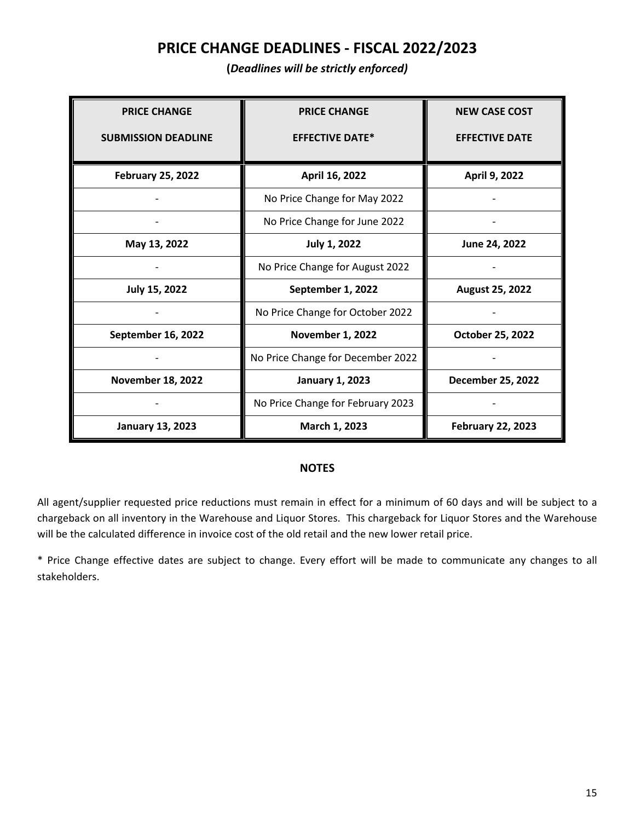### **PRICE CHANGE DEADLINES - FISCAL 2022/2023**

**(***Deadlines will be strictly enforced)*

<span id="page-14-0"></span>

| <b>PRICE CHANGE</b>        | <b>PRICE CHANGE</b>               | <b>NEW CASE COST</b>     |
|----------------------------|-----------------------------------|--------------------------|
| <b>SUBMISSION DEADLINE</b> | <b>EFFECTIVE DATE*</b>            | <b>EFFECTIVE DATE</b>    |
|                            |                                   |                          |
| <b>February 25, 2022</b>   | April 16, 2022                    | April 9, 2022            |
|                            | No Price Change for May 2022      |                          |
|                            | No Price Change for June 2022     |                          |
| May 13, 2022               | <b>July 1, 2022</b>               | June 24, 2022            |
|                            | No Price Change for August 2022   |                          |
| July 15, 2022              | September 1, 2022                 | August 25, 2022          |
|                            | No Price Change for October 2022  |                          |
| September 16, 2022         | <b>November 1, 2022</b>           | October 25, 2022         |
|                            | No Price Change for December 2022 |                          |
| <b>November 18, 2022</b>   | <b>January 1, 2023</b>            | <b>December 25, 2022</b> |
|                            | No Price Change for February 2023 |                          |
| <b>January 13, 2023</b>    | March 1, 2023                     | <b>February 22, 2023</b> |

#### **NOTES**

All agent/supplier requested price reductions must remain in effect for a minimum of 60 days and will be subject to a chargeback on all inventory in the Warehouse and Liquor Stores. This chargeback for Liquor Stores and the Warehouse will be the calculated difference in invoice cost of the old retail and the new lower retail price.

\* Price Change effective dates are subject to change. Every effort will be made to communicate any changes to all stakeholders.